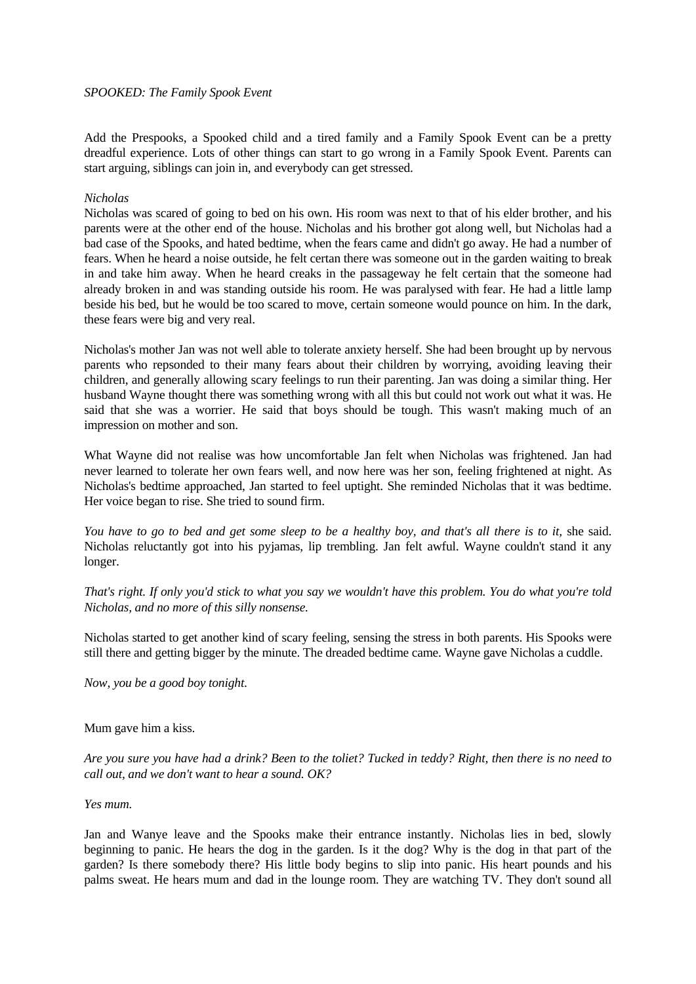Add the Prespooks, a Spooked child and a tired family and a Family Spook Event can be a pretty dreadful experience. Lots of other things can start to go wrong in a Family Spook Event. Parents can start arguing, siblings can join in, and everybody can get stressed.

## *Nicholas*

Nicholas was scared of going to bed on his own. His room was next to that of his elder brother, and his parents were at the other end of the house. Nicholas and his brother got along well, but Nicholas had a bad case of the Spooks, and hated bedtime, when the fears came and didn't go away. He had a number of fears. When he heard a noise outside, he felt certan there was someone out in the garden waiting to break in and take him away. When he heard creaks in the passageway he felt certain that the someone had already broken in and was standing outside his room. He was paralysed with fear. He had a little lamp beside his bed, but he would be too scared to move, certain someone would pounce on him. In the dark, these fears were big and very real.

Nicholas's mother Jan was not well able to tolerate anxiety herself. She had been brought up by nervous parents who repsonded to their many fears about their children by worrying, avoiding leaving their children, and generally allowing scary feelings to run their parenting. Jan was doing a similar thing. Her husband Wayne thought there was something wrong with all this but could not work out what it was. He said that she was a worrier. He said that boys should be tough. This wasn't making much of an impression on mother and son.

What Wayne did not realise was how uncomfortable Jan felt when Nicholas was frightened. Jan had never learned to tolerate her own fears well, and now here was her son, feeling frightened at night. As Nicholas's bedtime approached, Jan started to feel uptight. She reminded Nicholas that it was bedtime. Her voice began to rise. She tried to sound firm.

*You have to go to bed and get some sleep to be a healthy boy, and that's all there is to it,* she said. Nicholas reluctantly got into his pyjamas, lip trembling. Jan felt awful. Wayne couldn't stand it any longer.

*That's right. If only you'd stick to what you say we wouldn't have this problem. You do what you're told Nicholas, and no more of this silly nonsense.*

Nicholas started to get another kind of scary feeling, sensing the stress in both parents. His Spooks were still there and getting bigger by the minute. The dreaded bedtime came. Wayne gave Nicholas a cuddle.

*Now, you be a good boy tonight*.

### Mum gave him a kiss.

*Are you sure you have had a drink? Been to the toliet? Tucked in teddy? Right, then there is no need to call out, and we don't want to hear a sound. OK?* 

### *Yes mum.*

Jan and Wanye leave and the Spooks make their entrance instantly. Nicholas lies in bed, slowly beginning to panic. He hears the dog in the garden. Is it the dog? Why is the dog in that part of the garden? Is there somebody there? His little body begins to slip into panic. His heart pounds and his palms sweat. He hears mum and dad in the lounge room. They are watching TV. They don't sound all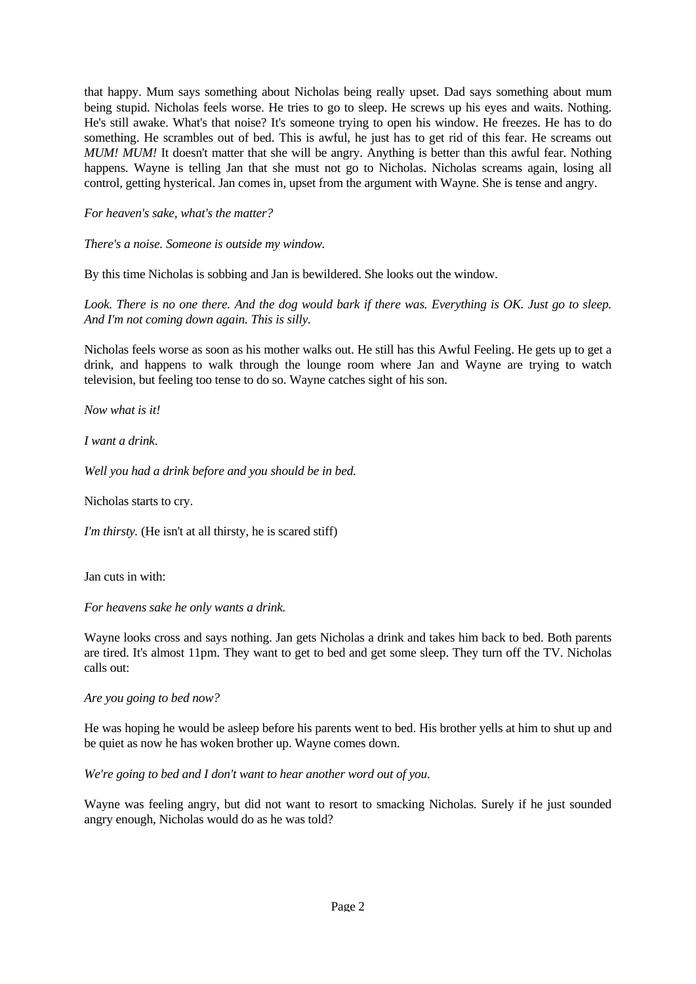that happy. Mum says something about Nicholas being really upset. Dad says something about mum being stupid. Nicholas feels worse. He tries to go to sleep. He screws up his eyes and waits. Nothing. He's still awake. What's that noise? It's someone trying to open his window. He freezes. He has to do something. He scrambles out of bed. This is awful, he just has to get rid of this fear. He screams out *MUM! MUM!* It doesn't matter that she will be angry. Anything is better than this awful fear. Nothing happens. Wayne is telling Jan that she must not go to Nicholas. Nicholas screams again, losing all control, getting hysterical. Jan comes in, upset from the argument with Wayne. She is tense and angry.

# *For heaven's sake, what's the matter?*

*There's a noise. Someone is outside my window.* 

By this time Nicholas is sobbing and Jan is bewildered. She looks out the window.

*Look. There is no one there. And the dog would bark if there was. Everything is OK. Just go to sleep. And I'm not coming down again. This is silly.* 

Nicholas feels worse as soon as his mother walks out. He still has this Awful Feeling. He gets up to get a drink, and happens to walk through the lounge room where Jan and Wayne are trying to watch television, but feeling too tense to do so. Wayne catches sight of his son.

*Now what is it!* 

*I want a drink*.

*Well you had a drink before and you should be in bed.* 

Nicholas starts to cry.

*I'm thirsty.* (He isn't at all thirsty, he is scared stiff)

Jan cuts in with:

*For heavens sake he only wants a drink.* 

Wayne looks cross and says nothing. Jan gets Nicholas a drink and takes him back to bed. Both parents are tired. It's almost 11pm. They want to get to bed and get some sleep. They turn off the TV. Nicholas calls out:

### *Are you going to bed now?*

He was hoping he would be asleep before his parents went to bed. His brother yells at him to shut up and be quiet as now he has woken brother up. Wayne comes down.

*We're going to bed and I don't want to hear another word out of you.*

Wayne was feeling angry, but did not want to resort to smacking Nicholas. Surely if he just sounded angry enough, Nicholas would do as he was told?